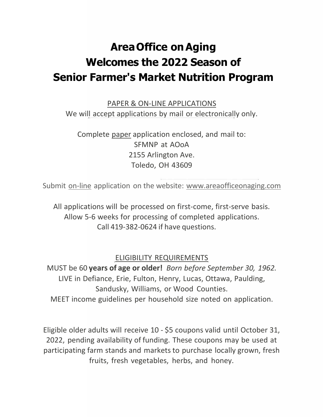# **AreaOffice onAging Welcomes the 2022 Season of Senior Farmer's Market Nutrition Program**

PAPER & ON-LINE APPLICATIONS We will accept applications by mail or electronically only.

Complete paper application enclosed, and mail to: SFMNP at AOoA 2155 Arlington Ave. Toledo, OH 43609

Submit on-line application on the website: [www.areaofficeonaging.com](http://www.areaofficeonaging.com/)

All applications will be processed on first-come, first-serve basis. Allow 5-6 weeks for processing of completed applications. Call 419-382-0624 if have questions.

#### ELIGIBILITY REQUIREMENTS

MUST be 60 **years of age or older!** *Born before September 30, 1962.* LIVE in Defiance, Erie, Fulton, Henry, Lucas, Ottawa, Paulding, Sandusky, Williams, or Wood Counties. MEET income guidelines per household size noted on application.

Eligible older adults will receive 10 - \$5 coupons valid until October 31, 2022, pending availability of funding. These coupons may be used at participating farm stands and markets to purchase locally grown, fresh fruits, fresh vegetables, herbs, and honey.